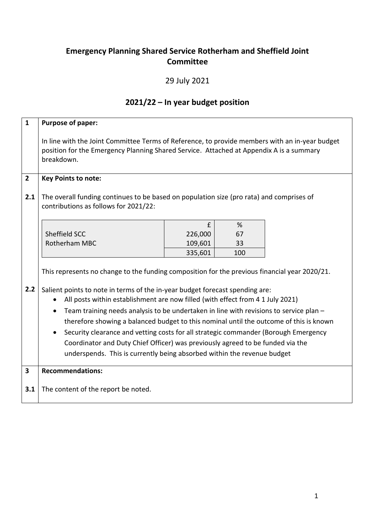## **Emergency Planning Shared Service Rotherham and Sheffield Joint Committee**

## 29 July 2021

## **2021/22 – In year budget position**

| $\mathbf{1}$            | Purpose of paper:                                                                                                                                                                                                                                                                                                                                                                                                                                                                                                                                                                                                            |                    |           |  |  |  |  |  |
|-------------------------|------------------------------------------------------------------------------------------------------------------------------------------------------------------------------------------------------------------------------------------------------------------------------------------------------------------------------------------------------------------------------------------------------------------------------------------------------------------------------------------------------------------------------------------------------------------------------------------------------------------------------|--------------------|-----------|--|--|--|--|--|
|                         | In line with the Joint Committee Terms of Reference, to provide members with an in-year budget<br>position for the Emergency Planning Shared Service. Attached at Appendix A is a summary<br>breakdown.                                                                                                                                                                                                                                                                                                                                                                                                                      |                    |           |  |  |  |  |  |
| $\overline{2}$          | <b>Key Points to note:</b>                                                                                                                                                                                                                                                                                                                                                                                                                                                                                                                                                                                                   |                    |           |  |  |  |  |  |
| 2.1                     | The overall funding continues to be based on population size (pro rata) and comprises of<br>contributions as follows for 2021/22:                                                                                                                                                                                                                                                                                                                                                                                                                                                                                            |                    |           |  |  |  |  |  |
|                         |                                                                                                                                                                                                                                                                                                                                                                                                                                                                                                                                                                                                                              | £                  | %         |  |  |  |  |  |
|                         | Sheffield SCC                                                                                                                                                                                                                                                                                                                                                                                                                                                                                                                                                                                                                | 226,000            | 67        |  |  |  |  |  |
|                         | Rotherham MBC                                                                                                                                                                                                                                                                                                                                                                                                                                                                                                                                                                                                                | 109,601<br>335,601 | 33<br>100 |  |  |  |  |  |
| 2.2                     | This represents no change to the funding composition for the previous financial year 2020/21.<br>Salient points to note in terms of the in-year budget forecast spending are:<br>All posts within establishment are now filled (with effect from 4 1 July 2021)<br>Team training needs analysis to be undertaken in line with revisions to service plan -<br>therefore showing a balanced budget to this nominal until the outcome of this is known<br>Security clearance and vetting costs for all strategic commander (Borough Emergency<br>Coordinator and Duty Chief Officer) was previously agreed to be funded via the |                    |           |  |  |  |  |  |
|                         | underspends. This is currently being absorbed within the revenue budget                                                                                                                                                                                                                                                                                                                                                                                                                                                                                                                                                      |                    |           |  |  |  |  |  |
| $\overline{\mathbf{3}}$ | <b>Recommendations:</b>                                                                                                                                                                                                                                                                                                                                                                                                                                                                                                                                                                                                      |                    |           |  |  |  |  |  |
| 3.1                     | The content of the report be noted.                                                                                                                                                                                                                                                                                                                                                                                                                                                                                                                                                                                          |                    |           |  |  |  |  |  |